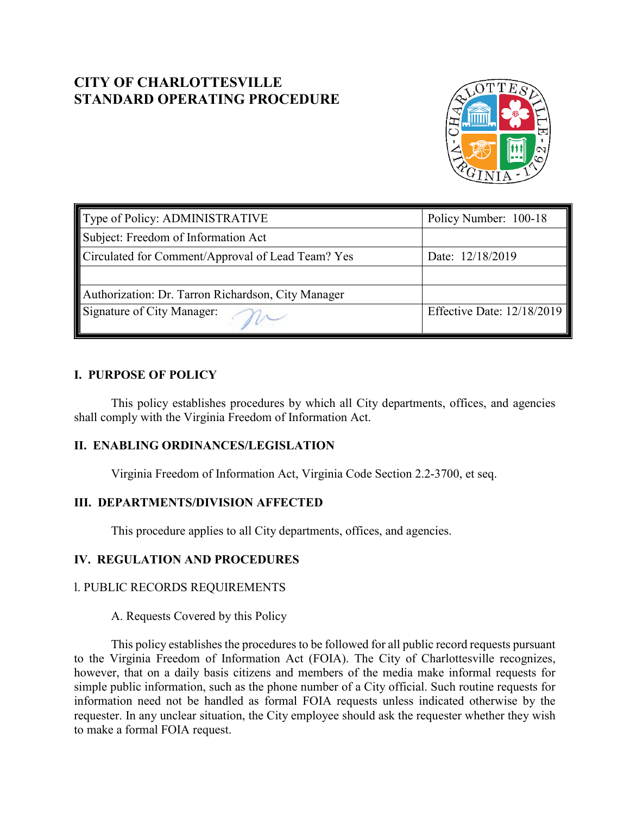# **CITY OF CHARLOTTESVILLE STANDARD OPERATING PROCEDURE**



| Type of Policy: ADMINISTRATIVE                     | Policy Number: 100-18        |
|----------------------------------------------------|------------------------------|
| Subject: Freedom of Information Act                |                              |
| Circulated for Comment/Approval of Lead Team? Yes  | Date: 12/18/2019             |
|                                                    |                              |
| Authorization: Dr. Tarron Richardson, City Manager |                              |
| Signature of City Manager:                         | Effective Date: $12/18/2019$ |

# **I. PURPOSE OF POLICY**

This policy establishes procedures by which all City departments, offices, and agencies shall comply with the Virginia Freedom of Information Act.

# **II. ENABLING ORDINANCES/LEGISLATION**

Virginia Freedom of Information Act, Virginia Code Section 2.2-3700, et seq.

# **III. DEPARTMENTS/DIVISION AFFECTED**

This procedure applies to all City departments, offices, and agencies.

# **IV. REGULATION AND PROCEDURES**

### l. PUBLIC RECORDS REQUIREMENTS

A. Requests Covered by this Policy

This policy establishes the procedures to be followed for all public record requests pursuant to the Virginia Freedom of Information Act (FOIA). The City of Charlottesville recognizes, however, that on a daily basis citizens and members of the media make informal requests for simple public information, such as the phone number of a City official. Such routine requests for information need not be handled as formal FOIA requests unless indicated otherwise by the requester. In any unclear situation, the City employee should ask the requester whether they wish to make a formal FOIA request.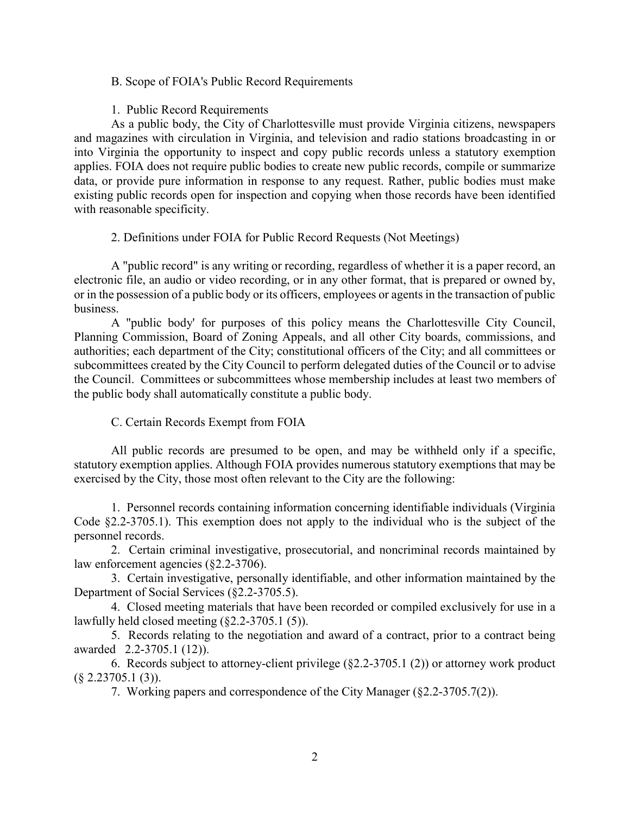### B. Scope of FOIA's Public Record Requirements

#### 1. Public Record Requirements

As a public body, the City of Charlottesville must provide Virginia citizens, newspapers and magazines with circulation in Virginia, and television and radio stations broadcasting in or into Virginia the opportunity to inspect and copy public records unless a statutory exemption applies. FOIA does not require public bodies to create new public records, compile or summarize data, or provide pure information in response to any request. Rather, public bodies must make existing public records open for inspection and copying when those records have been identified with reasonable specificity.

2. Definitions under FOIA for Public Record Requests (Not Meetings)

A "public record" is any writing or recording, regardless of whether it is a paper record, an electronic file, an audio or video recording, or in any other format, that is prepared or owned by, or in the possession of a public body or its officers, employees or agents in the transaction of public business.

A "public body' for purposes of this policy means the Charlottesville City Council, Planning Commission, Board of Zoning Appeals, and all other City boards, commissions, and authorities; each department of the City; constitutional officers of the City; and all committees or subcommittees created by the City Council to perform delegated duties of the Council or to advise the Council. Committees or subcommittees whose membership includes at least two members of the public body shall automatically constitute a public body.

### C. Certain Records Exempt from FOIA

All public records are presumed to be open, and may be withheld only if a specific, statutory exemption applies. Although FOIA provides numerous statutory exemptions that may be exercised by the City, those most often relevant to the City are the following:

1. Personnel records containing information concerning identifiable individuals (Virginia Code §2.2-3705.1). This exemption does not apply to the individual who is the subject of the personnel records.

2. Certain criminal investigative, prosecutorial, and noncriminal records maintained by law enforcement agencies (§2.2-3706).

3. Certain investigative, personally identifiable, and other information maintained by the Department of Social Services (§2.2-3705.5).

4. Closed meeting materials that have been recorded or compiled exclusively for use in a lawfully held closed meeting (§2.2-3705.1 (5)).

5. Records relating to the negotiation and award of a contract, prior to a contract being awarded 2.2-3705.1 (12)).

6. Records subject to attorney-client privilege (§2.2-3705.1 (2)) or attorney work product  $(\S$  2.23705.1 (3)).

7. Working papers and correspondence of the City Manager (§2.2-3705.7(2)).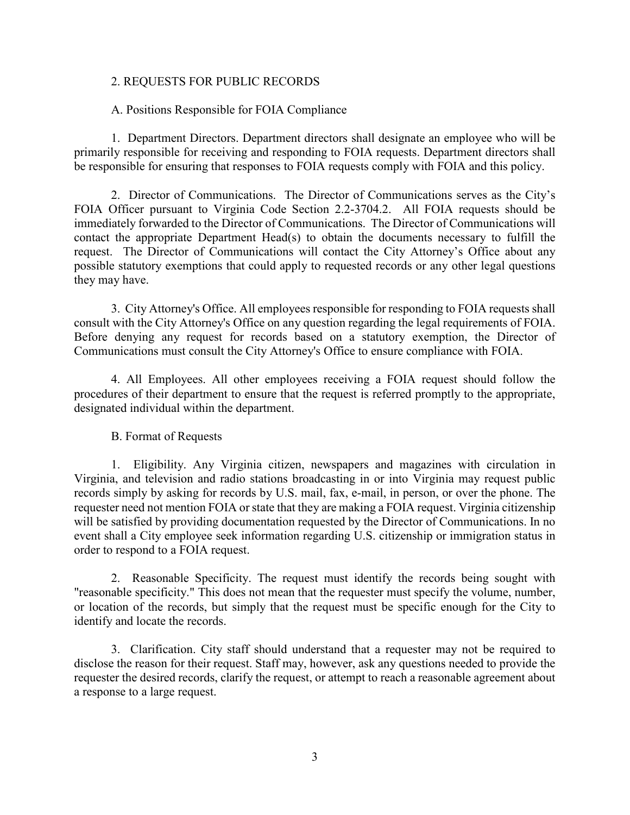#### 2. REQUESTS FOR PUBLIC RECORDS

#### A. Positions Responsible for FOIA Compliance

1. Department Directors. Department directors shall designate an employee who will be primarily responsible for receiving and responding to FOIA requests. Department directors shall be responsible for ensuring that responses to FOIA requests comply with FOIA and this policy.

2. Director of Communications. The Director of Communications serves as the City's FOIA Officer pursuant to Virginia Code Section 2.2-3704.2. All FOIA requests should be immediately forwarded to the Director of Communications. The Director of Communications will contact the appropriate Department Head(s) to obtain the documents necessary to fulfill the request. The Director of Communications will contact the City Attorney's Office about any possible statutory exemptions that could apply to requested records or any other legal questions they may have.

3. City Attorney's Office. All employees responsible for responding to FOIA requests shall consult with the City Attorney's Office on any question regarding the legal requirements of FOIA. Before denying any request for records based on a statutory exemption, the Director of Communications must consult the City Attorney's Office to ensure compliance with FOIA.

4. All Employees. All other employees receiving a FOIA request should follow the procedures of their department to ensure that the request is referred promptly to the appropriate, designated individual within the department.

#### B. Format of Requests

1. Eligibility. Any Virginia citizen, newspapers and magazines with circulation in Virginia, and television and radio stations broadcasting in or into Virginia may request public records simply by asking for records by U.S. mail, fax, e-mail, in person, or over the phone. The requester need not mention FOIA or state that they are making a FOIA request. Virginia citizenship will be satisfied by providing documentation requested by the Director of Communications. In no event shall a City employee seek information regarding U.S. citizenship or immigration status in order to respond to a FOIA request.

2. Reasonable Specificity. The request must identify the records being sought with "reasonable specificity." This does not mean that the requester must specify the volume, number, or location of the records, but simply that the request must be specific enough for the City to identify and locate the records.

3. Clarification. City staff should understand that a requester may not be required to disclose the reason for their request. Staff may, however, ask any questions needed to provide the requester the desired records, clarify the request, or attempt to reach a reasonable agreement about a response to a large request.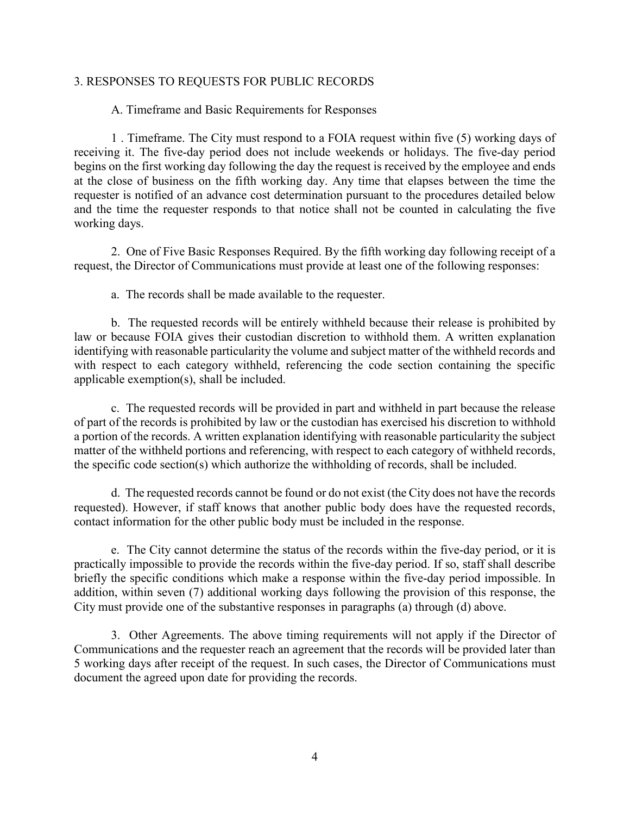#### 3. RESPONSES TO REQUESTS FOR PUBLIC RECORDS

#### A. Timeframe and Basic Requirements for Responses

1 . Timeframe. The City must respond to a FOIA request within five (5) working days of receiving it. The five-day period does not include weekends or holidays. The five-day period begins on the first working day following the day the request is received by the employee and ends at the close of business on the fifth working day. Any time that elapses between the time the requester is notified of an advance cost determination pursuant to the procedures detailed below and the time the requester responds to that notice shall not be counted in calculating the five working days.

2. One of Five Basic Responses Required. By the fifth working day following receipt of a request, the Director of Communications must provide at least one of the following responses:

a. The records shall be made available to the requester.

b. The requested records will be entirely withheld because their release is prohibited by law or because FOIA gives their custodian discretion to withhold them. A written explanation identifying with reasonable particularity the volume and subject matter of the withheld records and with respect to each category withheld, referencing the code section containing the specific applicable exemption(s), shall be included.

c. The requested records will be provided in part and withheld in part because the release of part of the records is prohibited by law or the custodian has exercised his discretion to withhold a portion of the records. A written explanation identifying with reasonable particularity the subject matter of the withheld portions and referencing, with respect to each category of withheld records, the specific code section(s) which authorize the withholding of records, shall be included.

d. The requested records cannot be found or do not exist (the City does not have the records requested). However, if staff knows that another public body does have the requested records, contact information for the other public body must be included in the response.

e. The City cannot determine the status of the records within the five-day period, or it is practically impossible to provide the records within the five-day period. If so, staff shall describe briefly the specific conditions which make a response within the five-day period impossible. In addition, within seven (7) additional working days following the provision of this response, the City must provide one of the substantive responses in paragraphs (a) through (d) above.

3. Other Agreements. The above timing requirements will not apply if the Director of Communications and the requester reach an agreement that the records will be provided later than 5 working days after receipt of the request. In such cases, the Director of Communications must document the agreed upon date for providing the records.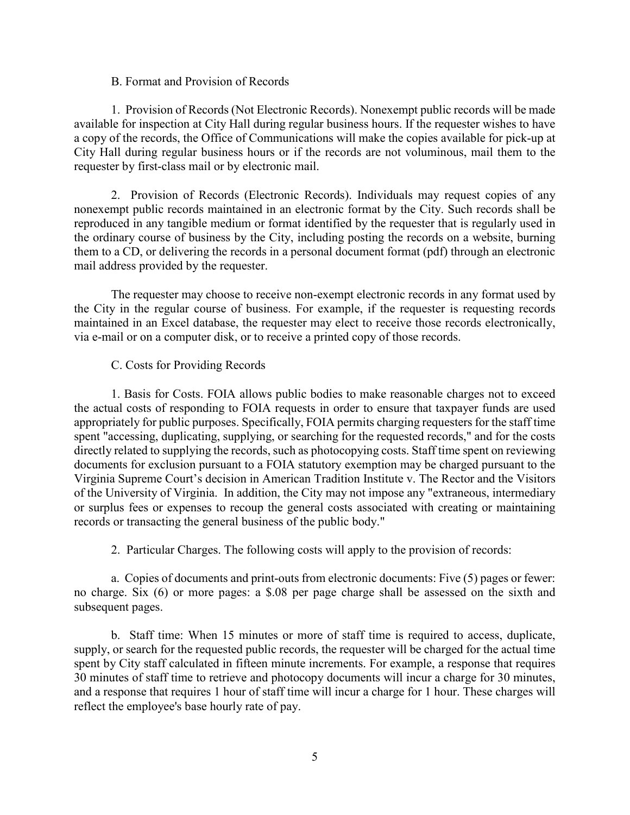#### B. Format and Provision of Records

1. Provision of Records (Not Electronic Records). Nonexempt public records will be made available for inspection at City Hall during regular business hours. If the requester wishes to have a copy of the records, the Office of Communications will make the copies available for pick-up at City Hall during regular business hours or if the records are not voluminous, mail them to the requester by first-class mail or by electronic mail.

2. Provision of Records (Electronic Records). Individuals may request copies of any nonexempt public records maintained in an electronic format by the City. Such records shall be reproduced in any tangible medium or format identified by the requester that is regularly used in the ordinary course of business by the City, including posting the records on a website, burning them to a CD, or delivering the records in a personal document format (pdf) through an electronic mail address provided by the requester.

The requester may choose to receive non-exempt electronic records in any format used by the City in the regular course of business. For example, if the requester is requesting records maintained in an Excel database, the requester may elect to receive those records electronically, via e-mail or on a computer disk, or to receive a printed copy of those records.

#### C. Costs for Providing Records

1. Basis for Costs. FOIA allows public bodies to make reasonable charges not to exceed the actual costs of responding to FOIA requests in order to ensure that taxpayer funds are used appropriately for public purposes. Specifically, FOIA permits charging requesters for the staff time spent "accessing, duplicating, supplying, or searching for the requested records," and for the costs directly related to supplying the records, such as photocopying costs. Staff time spent on reviewing documents for exclusion pursuant to a FOIA statutory exemption may be charged pursuant to the Virginia Supreme Court's decision in American Tradition Institute v. The Rector and the Visitors of the University of Virginia. In addition, the City may not impose any "extraneous, intermediary or surplus fees or expenses to recoup the general costs associated with creating or maintaining records or transacting the general business of the public body."

2. Particular Charges. The following costs will apply to the provision of records:

a. Copies of documents and print-outs from electronic documents: Five (5) pages or fewer: no charge. Six (6) or more pages: a \$.08 per page charge shall be assessed on the sixth and subsequent pages.

b. Staff time: When 15 minutes or more of staff time is required to access, duplicate, supply, or search for the requested public records, the requester will be charged for the actual time spent by City staff calculated in fifteen minute increments. For example, a response that requires 30 minutes of staff time to retrieve and photocopy documents will incur a charge for 30 minutes, and a response that requires 1 hour of staff time will incur a charge for 1 hour. These charges will reflect the employee's base hourly rate of pay.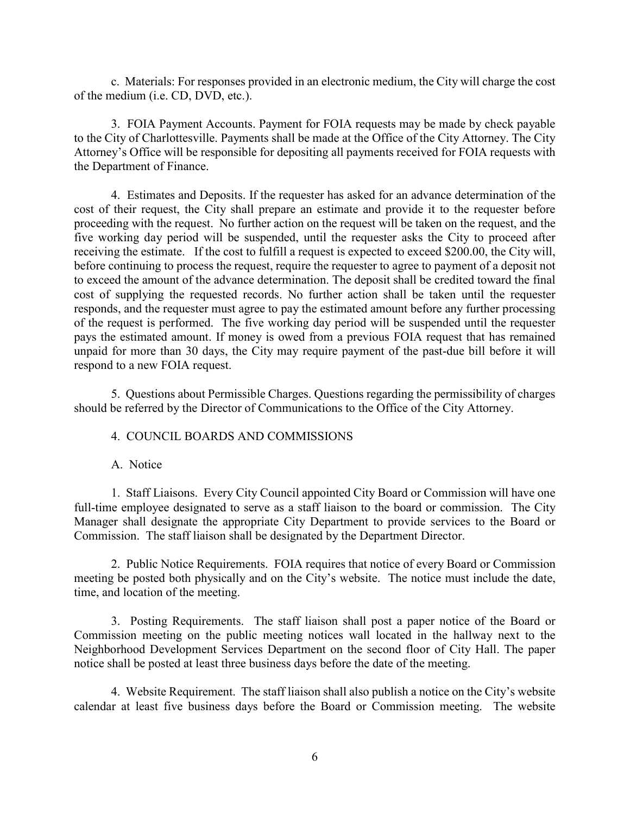c. Materials: For responses provided in an electronic medium, the City will charge the cost of the medium (i.e. CD, DVD, etc.).

3. FOIA Payment Accounts. Payment for FOIA requests may be made by check payable to the City of Charlottesville. Payments shall be made at the Office of the City Attorney. The City Attorney's Office will be responsible for depositing all payments received for FOIA requests with the Department of Finance.

4. Estimates and Deposits. If the requester has asked for an advance determination of the cost of their request, the City shall prepare an estimate and provide it to the requester before proceeding with the request. No further action on the request will be taken on the request, and the five working day period will be suspended, until the requester asks the City to proceed after receiving the estimate. If the cost to fulfill a request is expected to exceed \$200.00, the City will, before continuing to process the request, require the requester to agree to payment of a deposit not to exceed the amount of the advance determination. The deposit shall be credited toward the final cost of supplying the requested records. No further action shall be taken until the requester responds, and the requester must agree to pay the estimated amount before any further processing of the request is performed. The five working day period will be suspended until the requester pays the estimated amount. If money is owed from a previous FOIA request that has remained unpaid for more than 30 days, the City may require payment of the past-due bill before it will respond to a new FOIA request.

5. Questions about Permissible Charges. Questions regarding the permissibility of charges should be referred by the Director of Communications to the Office of the City Attorney.

#### 4. COUNCIL BOARDS AND COMMISSIONS

### A. Notice

1. Staff Liaisons. Every City Council appointed City Board or Commission will have one full-time employee designated to serve as a staff liaison to the board or commission. The City Manager shall designate the appropriate City Department to provide services to the Board or Commission. The staff liaison shall be designated by the Department Director.

2. Public Notice Requirements. FOIA requires that notice of every Board or Commission meeting be posted both physically and on the City's website. The notice must include the date, time, and location of the meeting.

3. Posting Requirements. The staff liaison shall post a paper notice of the Board or Commission meeting on the public meeting notices wall located in the hallway next to the Neighborhood Development Services Department on the second floor of City Hall. The paper notice shall be posted at least three business days before the date of the meeting.

4. Website Requirement. The staff liaison shall also publish a notice on the City's website calendar at least five business days before the Board or Commission meeting. The website